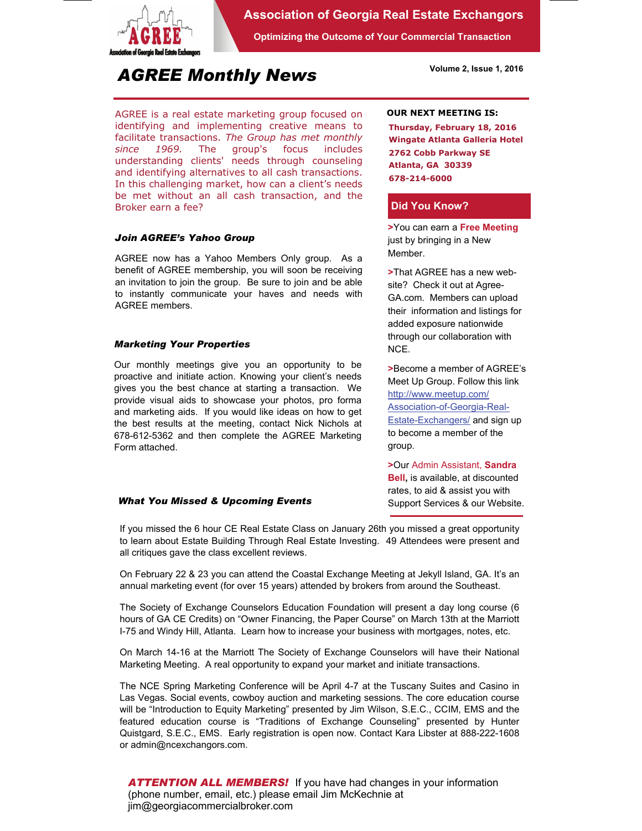

## **Association of Georgia Real Estate Exchangors**

**Optimizing the Outcome of Your Commercial Transaction** 

# *AGREE Monthly News*

AGREE is a real estate marketing group focused on identifying and implementing creative means to facilitate transactions. *The Group has met monthly since 1969.* The group's focus includes understanding clients' needs through counseling and identifying alternatives to all cash transactions. In this challenging market, how can a client's needs be met without an all cash transaction, and the Broker earn a fee?

#### *Join AGREE's Yahoo Group*

AGREE now has a Yahoo Members Only group. As a benefit of AGREE membership, you will soon be receiving an invitation to join the group. Be sure to join and be able to instantly communicate your haves and needs with AGREE members.

#### *Marketing Your Properties*

Our monthly meetings give you an opportunity to be proactive and initiate action. Knowing your client's needs gives you the best chance at starting a transaction. We provide visual aids to showcase your photos, pro forma and marketing aids. If you would like ideas on how to get the best results at the meeting, contact Nick Nichols at 678-612-5362 and then complete the AGREE Marketing Form attached.

#### *What You Missed & Upcoming Events*

**OUR NEXT MEETING IS:**

**Thursday, February 18, 2016 Wingate Atlanta Galleria Hotel 2762 Cobb Parkway SE Atlanta, GA 30339 678-214-6000** 

**Volume 2, Issue 1, 2016** 

#### **Did You Know?**

**>**You can earn a **Free Meeting**  just by bringing in a New Member.

**>**That AGREE has a new website? Check it out at Agree-GA.com. Members can upload their information and listings for added exposure nationwide through our collaboration with NCE.

**>**Become a member of AGREE's Meet Up Group. Follow this link http://www.meetup.com/ Association-of-Georgia-Real-**Estate-Exchangers/ and sign up** to become a member of the group.

**>**Our Admin Assistant, **Sandra Bell,** is available, at discounted rates, to aid & assist you with Support Services & our Website.

If you missed the 6 hour CE Real Estate Class on January 26th you missed a great opportunity to learn about Estate Building Through Real Estate Investing. 49 Attendees were present and all critiques gave the class excellent reviews.

On February 22 & 23 you can attend the Coastal Exchange Meeting at Jekyll Island, GA. It's an annual marketing event (for over 15 years) attended by brokers from around the Southeast.

The Society of Exchange Counselors Education Foundation will present a day long course (6 hours of GA CE Credits) on "Owner Financing, the Paper Course" on March 13th at the Marriott I-75 and Windy Hill, Atlanta. Learn how to increase your business with mortgages, notes, etc.

On March 14-16 at the Marriott The Society of Exchange Counselors will have their National Marketing Meeting. A real opportunity to expand your market and initiate transactions.

The NCE Spring Marketing Conference will be April 4-7 at the Tuscany Suites and Casino in Las Vegas. Social events, cowboy auction and marketing sessions. The core education course will be "Introduction to Equity Marketing" presented by Jim Wilson, S.E.C., CCIM, EMS and the featured education course is "Traditions of Exchange Counseling" presented by Hunter Quistgard, S.E.C., EMS. Early registration is open now. Contact Kara Libster at 888-222-1608 or admin@ncexchangors.com.

*ATTENTION ALL MEMBERS!* If you have had changes in your information (phone number, email, etc.) please email Jim McKechnie at jim@georgiacommercialbroker.com